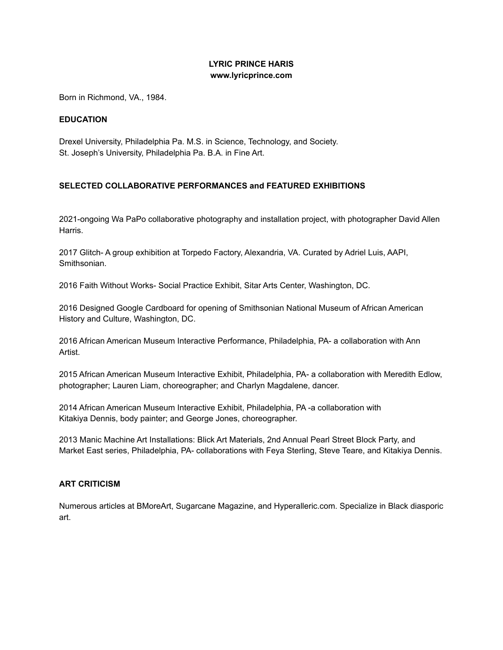# **LYRIC PRINCE HARIS www.lyricprince.com**

Born in Richmond, VA., 1984.

## **EDUCATION**

Drexel University, Philadelphia Pa. M.S. in Science, Technology, and Society. St. Joseph's University, Philadelphia Pa. B.A. in Fine Art.

# **SELECTED COLLABORATIVE PERFORMANCES and FEATURED EXHIBITIONS**

2021-ongoing Wa PaPo collaborative photography and installation project, with photographer David Allen Harris.

2017 Glitch- A group exhibition at Torpedo Factory, Alexandria, VA. Curated by Adriel Luis, AAPI, Smithsonian.

2016 Faith Without Works- Social Practice Exhibit, Sitar Arts Center, Washington, DC.

2016 Designed Google Cardboard for opening of Smithsonian National Museum of African American History and Culture, Washington, DC.

2016 African American Museum Interactive Performance, Philadelphia, PA- a collaboration with Ann Artist.

2015 African American Museum Interactive Exhibit, Philadelphia, PA- a collaboration with Meredith Edlow, photographer; Lauren Liam, choreographer; and Charlyn Magdalene, dancer.

2014 African American Museum Interactive Exhibit, Philadelphia, PA -a collaboration with Kitakiya Dennis, body painter; and George Jones, choreographer.

2013 Manic Machine Art Installations: Blick Art Materials, 2nd Annual Pearl Street Block Party, and Market East series, Philadelphia, PA- collaborations with Feya Sterling, Steve Teare, and Kitakiya Dennis.

#### **ART CRITICISM**

Numerous articles at BMoreArt, Sugarcane Magazine, and Hyperalleric.com. Specialize in Black diasporic art.